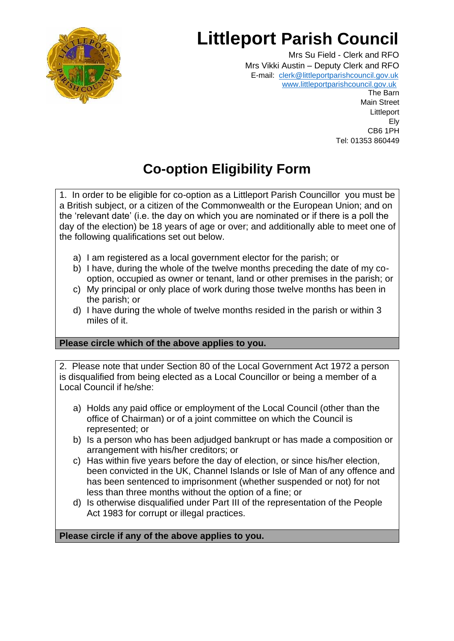

# **Littleport Parish Council**

Mrs Su Field - Clerk and RFO Mrs Vikki Austin – Deputy Clerk and RFO E-mail: [clerk@littleportparishcouncil.gov.uk](mailto:clerk@littleportparishcouncil.gov.uk) www.littleportparishcouncil.gov.u[k](http://www.ststepheninbrannel-pc.org.uk/)

The Barn Main Street **Littleport** Ely CB6 1PH Tel: 01353 860449

# **Co-option Eligibility Form**

1. In order to be eligible for co-option as a Littleport Parish Councillor you must be a British subject, or a citizen of the Commonwealth or the European Union; and on the 'relevant date' (i.e. the day on which you are nominated or if there is a poll the day of the election) be 18 years of age or over; and additionally able to meet one of the following qualifications set out below.

- a) I am registered as a local government elector for the parish; or
- b) I have, during the whole of the twelve months preceding the date of my cooption, occupied as owner or tenant, land or other premises in the parish; or
- c) My principal or only place of work during those twelve months has been in the parish; or
- d) I have during the whole of twelve months resided in the parish or within 3 miles of it.

## **Please circle which of the above applies to you.**

2. Please note that under Section 80 of the Local Government Act 1972 a person is disqualified from being elected as a Local Councillor or being a member of a Local Council if he/she:

- a) Holds any paid office or employment of the Local Council (other than the office of Chairman) or of a joint committee on which the Council is represented; or
- b) Is a person who has been adjudged bankrupt or has made a composition or arrangement with his/her creditors; or
- c) Has within five years before the day of election, or since his/her election, been convicted in the UK, Channel Islands or Isle of Man of any offence and has been sentenced to imprisonment (whether suspended or not) for not less than three months without the option of a fine; or
- d) Is otherwise disqualified under Part III of the representation of the People Act 1983 for corrupt or illegal practices.

#### **Please circle if any of the above applies to you.**